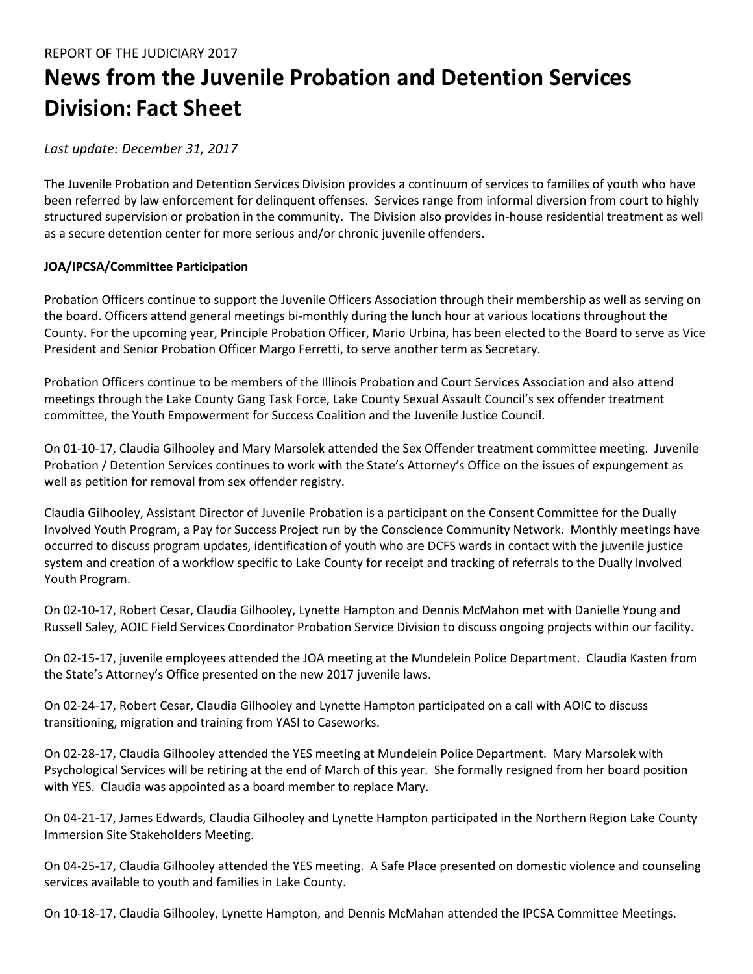# **News from the Juvenile Probation and Detention Services Division: Fact Sheet**

# *Last update: December 31, 2017*

The Juvenile Probation and Detention Services Division provides a continuum of services to families of youth who have been referred by law enforcement for delinquent offenses. Services range from informal diversion from court to highly structured supervision or probation in the community. The Division also provides in-house residential treatment as well as a secure detention center for more serious and/or chronic juvenile offenders.

# **JOA/IPCSA/Committee Participation**

Probation Officers continue to support the Juvenile Officers Association through their membership as well as serving on the board. Officers attend general meetings bi-monthly during the lunch hour at various locations throughout the County. For the upcoming year, Principle Probation Officer, Mario Urbina, has been elected to the Board to serve as Vice President and Senior Probation Officer Margo Ferretti, to serve another term as Secretary.

Probation Officers continue to be members of the Illinois Probation and Court Services Association and also attend meetings through the Lake County Gang Task Force, Lake County Sexual Assault Council's sex offender treatment committee, the Youth Empowerment for Success Coalition and the Juvenile Justice Council.

On 01-10-17, Claudia Gilhooley and Mary Marsolek attended the Sex Offender treatment committee meeting. Juvenile Probation / Detention Services continues to work with the State's Attorney's Office on the issues of expungement as well as petition for removal from sex offender registry.

Claudia Gilhooley, Assistant Director of Juvenile Probation is a participant on the Consent Committee for the Dually Involved Youth Program, a Pay for Success Project run by the Conscience Community Network. Monthly meetings have occurred to discuss program updates, identification of youth who are DCFS wards in contact with the juvenile justice system and creation of a workflow specific to Lake County for receipt and tracking of referrals to the Dually Involved Youth Program.

On 02-10-17, Robert Cesar, Claudia Gilhooley, Lynette Hampton and Dennis McMahon met with Danielle Young and Russell Saley, AOIC Field Services Coordinator Probation Service Division to discuss ongoing projects within our facility.

On 02-15-17, juvenile employees attended the JOA meeting at the Mundelein Police Department. Claudia Kasten from the State's Attorney's Office presented on the new 2017 juvenile laws.

On 02-24-17, Robert Cesar, Claudia Gilhooley and Lynette Hampton participated on a call with AOIC to discuss transitioning, migration and training from YASI to Caseworks.

On 02-28-17, Claudia Gilhooley attended the YES meeting at Mundelein Police Department. Mary Marsolek with Psychological Services will be retiring at the end of March of this year. She formally resigned from her board position with YES. Claudia was appointed as a board member to replace Mary.

On 04-21-17, James Edwards, Claudia Gilhooley and Lynette Hampton participated in the Northern Region Lake County Immersion Site Stakeholders Meeting.

On 04-25-17, Claudia Gilhooley attended the YES meeting. A Safe Place presented on domestic violence and counseling services available to youth and families in Lake County.

On 10-18-17, Claudia Gilhooley, Lynette Hampton, and Dennis McMahan attended the IPCSA Committee Meetings.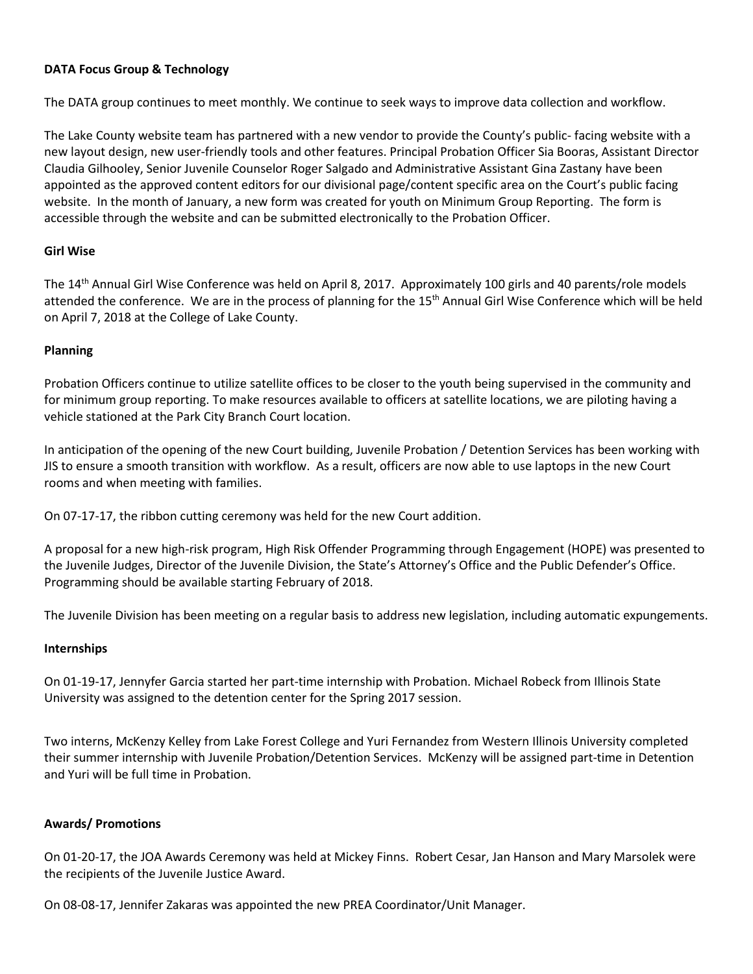# **DATA Focus Group & Technology**

The DATA group continues to meet monthly. We continue to seek ways to improve data collection and workflow.

The Lake County website team has partnered with a new vendor to provide the County's public- facing website with a new layout design, new user-friendly tools and other features. Principal Probation Officer Sia Booras, Assistant Director Claudia Gilhooley, Senior Juvenile Counselor Roger Salgado and Administrative Assistant Gina Zastany have been appointed as the approved content editors for our divisional page/content specific area on the Court's public facing website. In the month of January, a new form was created for youth on Minimum Group Reporting. The form is accessible through the website and can be submitted electronically to the Probation Officer.

## **Girl Wise**

The 14<sup>th</sup> Annual Girl Wise Conference was held on April 8, 2017. Approximately 100 girls and 40 parents/role models attended the conference. We are in the process of planning for the  $15<sup>th</sup>$  Annual Girl Wise Conference which will be held on April 7, 2018 at the College of Lake County.

## **Planning**

Probation Officers continue to utilize satellite offices to be closer to the youth being supervised in the community and for minimum group reporting. To make resources available to officers at satellite locations, we are piloting having a vehicle stationed at the Park City Branch Court location.

In anticipation of the opening of the new Court building, Juvenile Probation / Detention Services has been working with JIS to ensure a smooth transition with workflow. As a result, officers are now able to use laptops in the new Court rooms and when meeting with families.

On 07-17-17, the ribbon cutting ceremony was held for the new Court addition.

A proposal for a new high-risk program, High Risk Offender Programming through Engagement (HOPE) was presented to the Juvenile Judges, Director of the Juvenile Division, the State's Attorney's Office and the Public Defender's Office. Programming should be available starting February of 2018.

The Juvenile Division has been meeting on a regular basis to address new legislation, including automatic expungements.

#### **Internships**

On 01-19-17, Jennyfer Garcia started her part-time internship with Probation. Michael Robeck from Illinois State University was assigned to the detention center for the Spring 2017 session.

Two interns, McKenzy Kelley from Lake Forest College and Yuri Fernandez from Western Illinois University completed their summer internship with Juvenile Probation/Detention Services. McKenzy will be assigned part-time in Detention and Yuri will be full time in Probation.

#### **Awards/ Promotions**

On 01-20-17, the JOA Awards Ceremony was held at Mickey Finns. Robert Cesar, Jan Hanson and Mary Marsolek were the recipients of the Juvenile Justice Award.

On 08-08-17, Jennifer Zakaras was appointed the new PREA Coordinator/Unit Manager.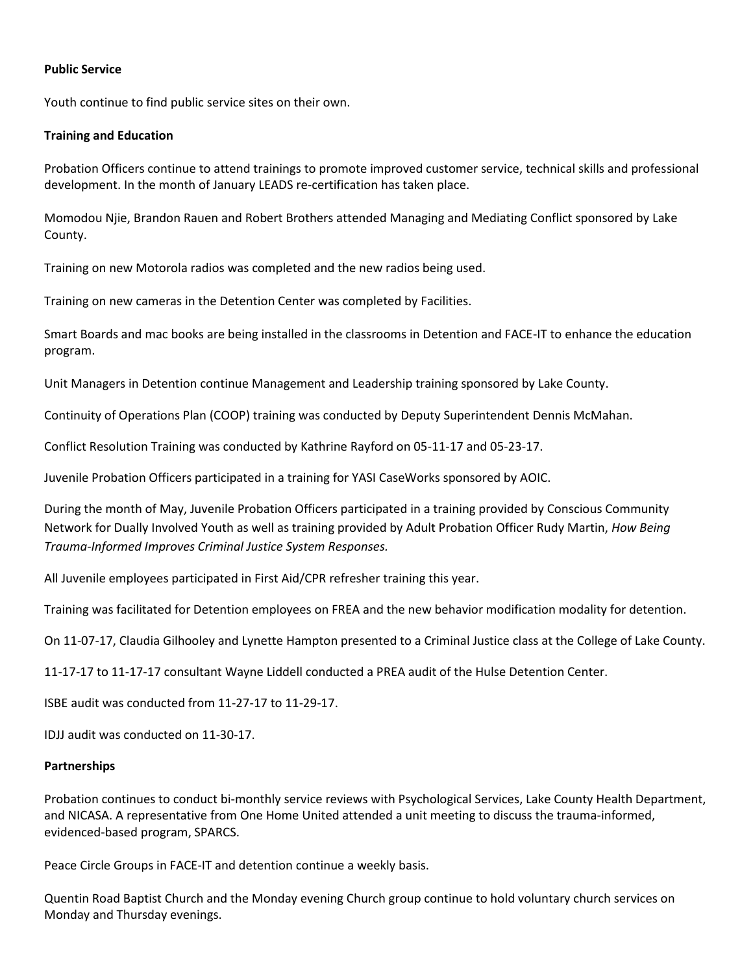## **Public Service**

Youth continue to find public service sites on their own.

## **Training and Education**

Probation Officers continue to attend trainings to promote improved customer service, technical skills and professional development. In the month of January LEADS re-certification has taken place.

Momodou Njie, Brandon Rauen and Robert Brothers attended Managing and Mediating Conflict sponsored by Lake County.

Training on new Motorola radios was completed and the new radios being used.

Training on new cameras in the Detention Center was completed by Facilities.

Smart Boards and mac books are being installed in the classrooms in Detention and FACE-IT to enhance the education program.

Unit Managers in Detention continue Management and Leadership training sponsored by Lake County.

Continuity of Operations Plan (COOP) training was conducted by Deputy Superintendent Dennis McMahan.

Conflict Resolution Training was conducted by Kathrine Rayford on 05-11-17 and 05-23-17.

Juvenile Probation Officers participated in a training for YASI CaseWorks sponsored by AOIC.

During the month of May, Juvenile Probation Officers participated in a training provided by Conscious Community Network for Dually Involved Youth as well as training provided by Adult Probation Officer Rudy Martin, *How Being Trauma-Informed Improves Criminal Justice System Responses.*

All Juvenile employees participated in First Aid/CPR refresher training this year.

Training was facilitated for Detention employees on FREA and the new behavior modification modality for detention.

On 11-07-17, Claudia Gilhooley and Lynette Hampton presented to a Criminal Justice class at the College of Lake County.

11-17-17 to 11-17-17 consultant Wayne Liddell conducted a PREA audit of the Hulse Detention Center.

ISBE audit was conducted from 11-27-17 to 11-29-17.

IDJJ audit was conducted on 11-30-17.

#### **Partnerships**

Probation continues to conduct bi-monthly service reviews with Psychological Services, Lake County Health Department, and NICASA. A representative from One Home United attended a unit meeting to discuss the trauma-informed, evidenced-based program, SPARCS.

Peace Circle Groups in FACE-IT and detention continue a weekly basis.

Quentin Road Baptist Church and the Monday evening Church group continue to hold voluntary church services on Monday and Thursday evenings.